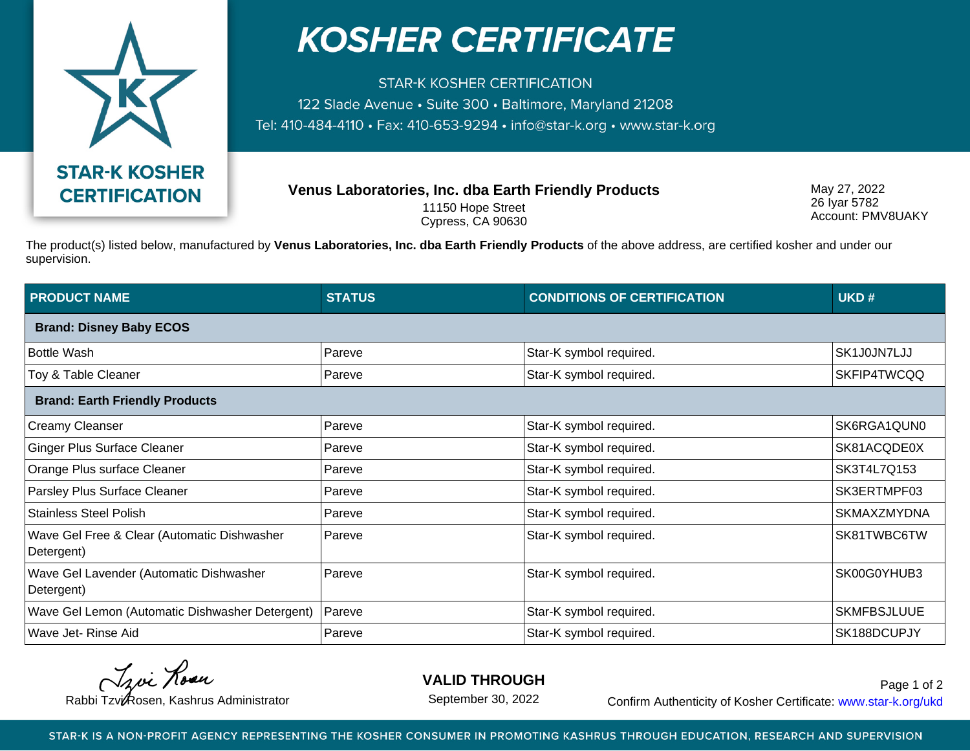

## **KOSHER CERTIFICATE**

**STAR-K KOSHER CERTIFICATION** 122 Slade Avenue • Suite 300 • Baltimore, Maryland 21208 Tel: 410-484-4110 · Fax: 410-653-9294 · info@star-k.org · www.star-k.org

**Venus Laboratories, Inc. dba Earth Friendly Products**

11150 Hope Street Cypress, CA 90630 May 27, 2022 26 Iyar 5782 Account: PMV8UAKY

The product(s) listed below, manufactured by **Venus Laboratories, Inc. dba Earth Friendly Products** of the above address, are certified kosher and under our supervision.

| <b>PRODUCT NAME</b>                                       | <b>STATUS</b> | <b>CONDITIONS OF CERTIFICATION</b> | UKD#               |  |
|-----------------------------------------------------------|---------------|------------------------------------|--------------------|--|
| <b>Brand: Disney Baby ECOS</b>                            |               |                                    |                    |  |
| Bottle Wash                                               | Pareve        | Star-K symbol required.            | SK1J0JN7LJJ        |  |
| Toy & Table Cleaner                                       | Pareve        | Star-K symbol required.            | SKFIP4TWCQQ        |  |
| <b>Brand: Earth Friendly Products</b>                     |               |                                    |                    |  |
| Creamy Cleanser                                           | Pareve        | Star-K symbol required.            | SK6RGA1QUN0        |  |
| <b>Ginger Plus Surface Cleaner</b>                        | Pareve        | Star-K symbol required.            | SK81ACQDE0X        |  |
| Orange Plus surface Cleaner                               | Pareve        | Star-K symbol required.            | SK3T4L7Q153        |  |
| Parsley Plus Surface Cleaner                              | Pareve        | Star-K symbol required.            | SK3ERTMPF03        |  |
| <b>Stainless Steel Polish</b>                             | Pareve        | Star-K symbol required.            | SKMAXZMYDNA        |  |
| Wave Gel Free & Clear (Automatic Dishwasher<br>Detergent) | Pareve        | Star-K symbol required.            | SK81TWBC6TW        |  |
| Wave Gel Lavender (Automatic Dishwasher<br>Detergent)     | Pareve        | Star-K symbol required.            | SK00G0YHUB3        |  |
| Wave Gel Lemon (Automatic Dishwasher Detergent)           | Pareve        | Star-K symbol required.            | <b>SKMFBSJLUUE</b> |  |
| Wave Jet- Rinse Aid                                       | Pareve        | Star-K symbol required.            | SK188DCUPJY        |  |

Troi Rosen

**VALID THROUGH**

September 30, 2022

Rabbi Tzvi Rosen, Kashrus Administrator **Confirm Authenticity of Kosher Certificate:** www.star-k.org/ukd Page 1 of 2

STAR-K IS A NON-PROFIT AGENCY REPRESENTING THE KOSHER CONSUMER IN PROMOTING KASHRUS THROUGH EDUCATION, RESEARCH AND SUPERVISION